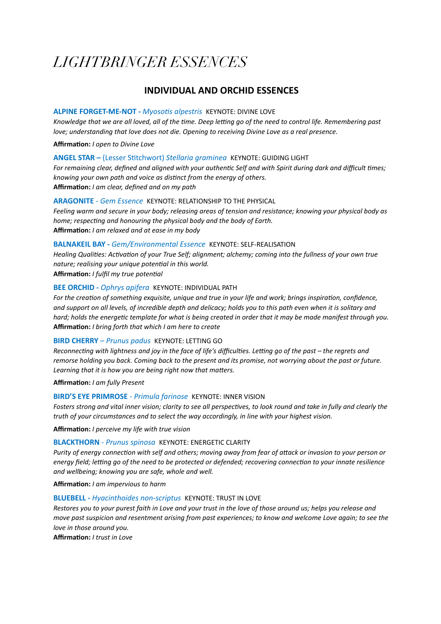# **LIGHTBRINGER ESSENCES**

# **INDIVIDUAL AND ORCHID ESSENCES**

## **ALPINE FORGET-ME-NOT - Myosotis alpestris KEYNOTE: DIVINE LOVE**

Knowledge that we are all loved, all of the time. Deep letting go of the need to control life. Remembering past love; understanding that love does not die. Opening to receiving Divine Love as a real presence.

Affirmation: I open to Divine Love

## ANGEL STAR - (Lesser Stitchwort) Stellaria graminea KEYNOTE: GUIDING LIGHT

For remaining clear, defined and aligned with your authentic Self and with Spirit during dark and difficult times; knowing your own path and voice as distinct from the energy of others. Affirmation: I am clear, defined and on my path

## **ARAGONITE - Gem Essence KEYNOTE: RELATIONSHIP TO THE PHYSICAL**

Feeling warm and secure in your body; releasing areas of tension and resistance; knowing your physical body as home; respecting and honouring the physical body and the body of Earth. Affirmation: I am relaxed and at ease in my body

## **BALNAKEIL BAY - Gem/Environmental Essence KEYNOTE: SELF-REALISATION**

Healing Qualities: Activation of your True Self; alignment; alchemy; coming into the fullness of your own true nature; realising your unique potential in this world. Affirmation: I fulfil my true potential

## **BEE ORCHID - Ophrys apifera KEYNOTE: INDIVIDUAL PATH**

For the creation of something exquisite, unique and true in your life and work; brings inspiration, confidence, and support on all levels, of incredible depth and delicacy; holds you to this path even when it is solitary and hard; holds the energetic template for what is being created in order that it may be made manifest through you. Affirmation: I bring forth that which I am here to create

## **BIRD CHERRY** - Prunus padus KEYNOTE: LETTING GO

Reconnecting with lightness and joy in the face of life's difficulties. Letting go of the past - the regrets and remorse holding you back. Coming back to the present and its promise, not worrying about the past or future. Learning that it is how you are being right now that matters.

Affirmation: I am fully Present

## **BIRD'S EYE PRIMROSE - Primula farinose KEYNOTE: INNER VISION**

Fosters strong and vital inner vision; clarity to see all perspectives, to look round and take in fully and clearly the truth of your circumstances and to select the way accordingly, in line with your highest vision.

Affirmation: I perceive my life with true vision

## **BLACKTHORN** - Prunus spinosa KEYNOTE: ENERGETIC CLARITY

Purity of energy connection with self and others; moving away from fear of attack or invasion to your person or energy field; letting go of the need to be protected or defended; recovering connection to your innate resilience and wellbeing; knowing you are safe, whole and well.

Affirmation: I am impervious to harm

## **BLUEBELL - Hyacinthoides non-scriptus KEYNOTE: TRUST IN LOVE**

Restores you to your purest faith in Love and your trust in the love of those around us; helps you release and move past suspicion and resentment arising from past experiences; to know and welcome Love again; to see the love in those around you.

Affirmation: / trust in Love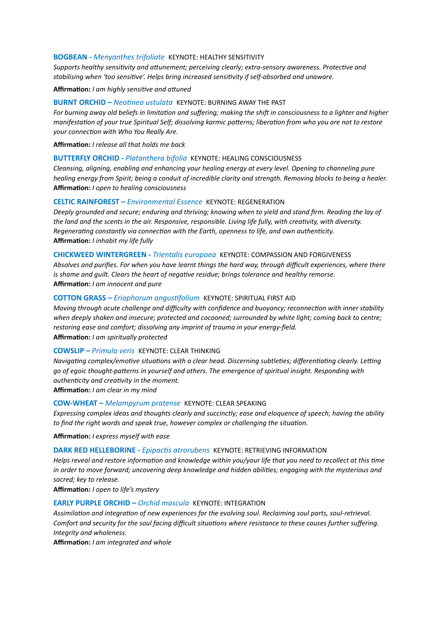#### **BOGBEAN -** *Menyanthes trifoliate* KEYNOTE: HEALTHY SENSITIVITY

Supports healthy sensitivity and attunement; perceiving clearly; extra-sensory awareness. Protective and stabilising when 'too sensitive'. Helps bring increased sensitivity if self-absorbed and unaware.

**Affirmation:** *I am highly sensitive and attuned* 

#### **BURNT ORCHID –** *Neotinea ustulata* **KEYNOTE: BURNING AWAY THE PAST**

*For burning away old beliefs in limitation and suffering; making the shift in consciousness to a lighter and higher manifestation of your true Spiritual Self; dissolving karmic patterns; liberation from who you are not to restore your connection with Who You Really Are.* 

**Affirma9on:** *I release all that holds me back*

#### **BUTTERFLY ORCHID -** *Platanthera bifolia* KEYNOTE: HEALING CONSCIOUSNESS

*Cleansing, aligning, enabling and enhancing your healing energy at every level. Opening to channeling pure healing energy from Spirit; being a conduit of incredible clarity and strength. Removing blocks to being a healer.*  Affirmation: *I open to healing consciousness* 

### **CELTIC RAINFOREST –** *Environmental Essence* KEYNOTE: REGENERATION

*Deeply grounded and secure; enduring and thriving; knowing when to yield and stand firm. Reading the lay of*  the land and the scents in the air. Responsive, responsible. Living life fully, with creativity, with diversity. *Regenerating constantly via connection with the Earth, openness to life, and own authenticity.* **Affirma9on:** *I inhabit my life fully*

## **CHICKWEED WINTERGREEN -** *Trientalis europaea* KEYNOTE: COMPASSION AND FORGIVENESS

*Absolves and purifies. For when you have learnt things the hard way, through difficult experiences, where there is shame and quilt. Clears the heart of negative residue; brings tolerance and healthy remorse.* Affirmation: *I am innocent and pure* 

### **COTTON GRASS – Eriophorum angustifolium KEYNOTE: SPIRITUAL FIRST AID**

*Moving through acute challenge and difficulty with confidence and buoyancy; reconnection with inner stability when deeply shaken and insecure; protected and cocooned; surrounded by white light; coming back to centre; restoring ease and comfort; dissolving any imprint of trauma in your energy-field.*  Affirmation: *I am spiritually protected* 

#### **COWSLIP –** *Primula veris* KEYNOTE: CLEAR THINKING

*Navigating complex/emotive situations with a clear head. Discerning subtleties; differentiating clearly. Letting* go of egoic thought-patterns in yourself and others. The emergence of spiritual insight. Responding with authenticity and creativity in the moment.

Affirmation: *I am clear in my mind* 

#### **COW-WHEAT –** *Melampyrum pratense* KEYNOTE: CLEAR SPEAKING

*Expressing complex ideas and thoughts clearly and succinctly; ease and eloquence of speech; having the ability to find the right words and speak true, however complex or challenging the situation.* 

**Affirma9on:** *I express myself with ease* 

## **DARK RED HELLEBORINE - Epipactis atrorubens <br>KEYNOTE: RETRIEVING INFORMATION**

*Helps reveal and restore information and knowledge within you/your life that you need to recollect at this time* in order to move forward; uncovering deep knowledge and hidden abilities; engaging with the mysterious and *sacred; key to release.* 

Affirmation: *I open to life's mystery* 

#### **EARLY PURPLE ORCHID –** *Orchid mascula* KEYNOTE: INTEGRATION

Assimilation and integration of new experiences for the evolving soul. Reclaiming soul parts, soul-retrieval. *Comfort and security for the soul facing difficult situations where resistance to these causes further suffering. Integrity and wholeness.* 

Affirmation: *I am integrated and whole*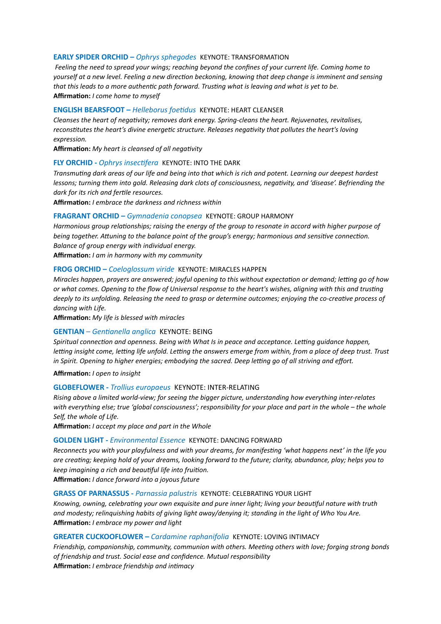### **EARLY SPIDER ORCHID - Ophrys sphegodes KEYNOTE: TRANSFORMATION**

Feeling the need to spread your wings; reaching beyond the confines of your current life. Coming home to yourself at a new level. Feeling a new direction beckoning, knowing that deep change is imminent and sensing that this leads to a more authentic path forward. Trusting what is leaving and what is yet to be. Affirmation: I come home to myself

## **ENGLISH BEARSFOOT - Helleborus foetidus KEYNOTE: HEART CLEANSER**

Cleanses the heart of neaativity; removes dark energy. Spring-cleans the heart. Rejuvenates, revitalises, reconstitutes the heart's divine energetic structure. Releases negativity that pollutes the heart's loving expression.

Affirmation: My heart is cleansed of all negativity

#### FLY ORCHID - Ophrys insectifera KEYNOTE: INTO THE DARK

Transmuting dark areas of our life and being into that which is rich and potent. Learning our deepest hardest lessons; turning them into gold. Releasing dark clots of consciousness, negativity, and 'disease'. Befriending the dark for its rich and fertile resources.

**Affirmation:** *l* embrace the darkness and richness within

#### **FRAGRANT ORCHID - Gymnadenia conopsea KEYNOTE: GROUP HARMONY**

Harmonious group relationships; raising the energy of the group to resonate in accord with higher purpose of being together. Attuning to the balance point of the group's energy; harmonious and sensitive connection. Balance of group energy with individual energy.

Affirmation: I am in harmony with my community

#### FROG ORCHID - Coeloglossum viride KEYNOTE: MIRACLES HAPPEN

Miracles happen, prayers are answered; joyful opening to this without expectation or demand; letting go of how or what comes. Opening to the flow of Universal response to the heart's wishes, alianing with this and trusting deeply to its unfolding. Releasing the need to grasp or determine outcomes; enjoying the co-creative process of dancing with Life.

Affirmation: My life is blessed with miracles

## **GENTIAN** - Gentianella anglica KEYNOTE: BEING

Spiritual connection and openness. Being with What Is in peace and acceptance. Letting quidance happen, letting insight come, letting life unfold. Letting the answers emerge from within, from a place of deep trust. Trust in Spirit. Opening to higher energies; embodying the sacred. Deep letting go of all striving and effort.

#### Affirmation: I open to insight

## **GLOBEFLOWER - Trollius europaeus KEYNOTE: INTER-RELATING**

Rising above a limited world-view; for seeing the bigger picture, understanding how everything inter-relates with everything else; true 'global consciousness'; responsibility for your place and part in the whole - the whole Self, the whole of Life.

Affirmation: I accept my place and part in the Whole

#### **GOLDEN LIGHT - Environmental Essence KEYNOTE: DANCING FORWARD**

Reconnects you with your playfulness and with your dreams, for manifesting 'what happens next' in the life you are creating; keeping hold of your dreams, looking forward to the future; clarity, abundance, play; helps you to keep imagining a rich and beautiful life into fruition.

Affirmation: I dance forward into a joyous future

## **GRASS OF PARNASSUS - Parnassia palustris KEYNOTE: CELEBRATING YOUR LIGHT**

Knowing, owning, celebrating your own exquisite and pure inner light: living your bequtiful nature with truth and modesty; relinquishing habits of giving light away/denying it; standing in the light of Who You Are. Affirmation: I embrace my power and light

#### **GREATER CUCKOOFLOWER - Cardamine raphanifolia KEYNOTE: LOVING INTIMACY**

Friendship, companionship, community, communion with others. Meeting others with love; forging strong bonds of friendship and trust. Social ease and confidence. Mutual responsibility Affirmation: I embrace friendship and intimacy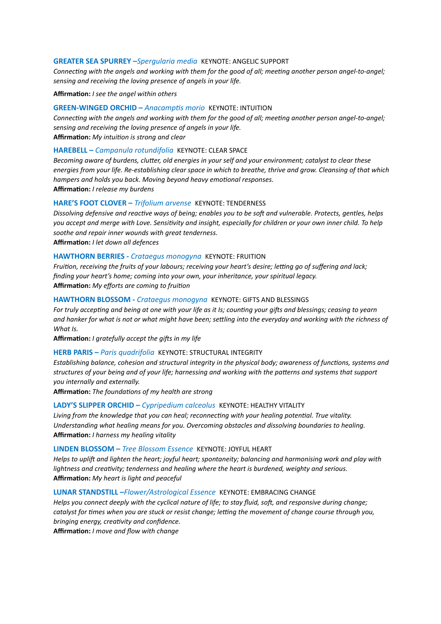#### **GREATER SEA SPURREY –***Spergularia media* KEYNOTE: ANGELIC SUPPORT

*Connecting with the angels and working with them for the good of all; meeting another person angel-to-angel; sensing and receiving the loving presence of angels in your life.* 

Affirmation: *I see the angel within others* 

#### **GREEN-WINGED ORCHID – Anacamptis morio KEYNOTE: INTUITION**

*Connecting with the angels and working with them for the good of all; meeting another person angel-to-angel; sensing and receiving the loving presence of angels in your life.*  **Affirmation:** My intuition is strong and clear

## **HAREBELL –** *Campanula rotundifolia* KEYNOTE: CLEAR SPACE

*Becoming aware of burdens, clutter, old energies in your self and your environment; catalyst to clear these energies from your life. Re-establishing clear space in which to breathe, thrive and grow. Cleansing of that which hampers and holds you back. Moving beyond heavy emotional responses.* **Affirma9on:** *I release my burdens* 

**HARE'S FOOT CLOVER –** *Trifolium arvense* KEYNOTE: TENDERNESS

*Dissolving defensive and reactive ways of being; enables you to be soft and vulnerable. Protects, gentles, helps you accept and merge with Love. Sensitivity and insight, especially for children or your own inner child. To help soothe and repair inner wounds with great tenderness.* 

**Affirma9on:** *I let down all defences*

## **HAWTHORN BERRIES -** *Crataegus monogyna* KEYNOTE: FRUITION

*Fruition, receiving the fruits of your labours; receiving your heart's desire; letting go of suffering and lack; finding your heart's home; coming into your own, your inheritance, your spiritual legacy.*  **Affirmation:** My efforts are coming to fruition

#### **HAWTHORN BLOSSOM -** *Crataegus monogyna* KEYNOTE: GIFTS AND BLESSINGS

*For truly accepting and being at one with your life as it Is; counting your gifts and blessings; ceasing to yearn* and hanker for what is not or what might have been; settling into the everyday and working with the richness of *What Is.* 

Affirmation: *I gratefully accept the gifts in my life* 

## **HERB PARIS –** *Paris quadrifolia* KEYNOTE: STRUCTURAL INTEGRITY

*Establishing balance, cohesion and structural integrity in the physical body; awareness of functions, systems and* structures of your being and of your life; harnessing and working with the patterns and systems that support *you internally and externally.* 

Affirmation: The foundations of my health are strong

#### **LADY'S SLIPPER ORCHID –** *Cypripedium calceolus* KEYNOTE: HEALTHY VITALITY

Living from the knowledge that you can heal; reconnecting with your healing potential. True vitality. *Understanding what healing means for you. Overcoming obstacles and dissolving boundaries to healing.*  **Affirma9on:** *I harness my healing vitality* 

#### **LINDEN BLOSSOM –** *Tree Blossom Essence* KEYNOTE: JOYFUL HEART

*Helps to upli] and lighten the heart; joyful heart; spontaneity; balancing and harmonising work and play with*  lightness and creativity; tenderness and healing where the heart is burdened, weighty and serious. **Affirma9on:** *My heart is light and peaceful*

## **LUNAR STANDSTILL –***Flower/Astrological Essence* KEYNOTE: EMBRACING CHANGE

*Helps you connect deeply with the cyclical nature of life; to stay fluid, soft, and responsive during change; catalyst for times when you are stuck or resist change; letting the movement of change course through you, bringing energy, creativity and confidence.* 

Affirmation: *I move and flow with change*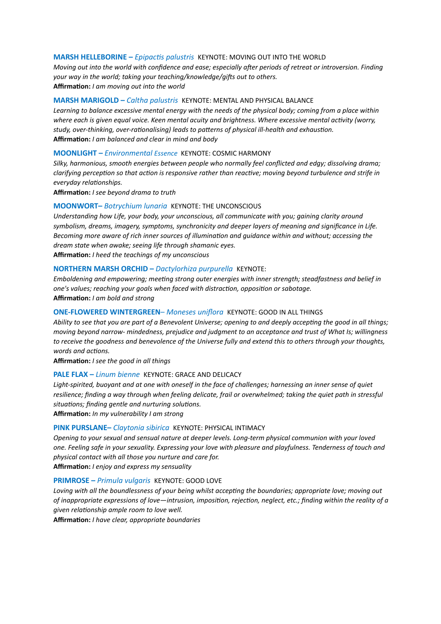#### **MARSH HELLEBORINE – Epipactis palustris KEYNOTE: MOVING OUT INTO THE WORLD**

*Moving out into the world with confidence and ease; especially after periods of retreat or introversion. Finding your way in the world; taking your teaching/knowledge/gifts out to others.* 

**Affirma9on:** *I am moving out into the world*

## **MARSH MARIGOLD –** *Caltha palustris* KEYNOTE: MENTAL AND PHYSICAL BALANCE

*Learning to balance excessive mental energy with the needs of the physical body; coming from a place within*  where each is given equal voice. Keen mental acuity and brightness. Where excessive mental activity (worry, study, over-thinking, over-rationalising) leads to patterns of physical ill-health and exhaustion. **Affirma9on:** *I am balanced and clear in mind and body*

#### **MOONLIGHT –** *Environmental Essence* KEYNOTE: COSMIC HARMONY

*Silky, harmonious, smooth energies between people who normally feel conflicted and edgy; dissolving drama; clarifying perception so that action is responsive rather than reactive; moving beyond turbulence and strife in*  $e$ veryday relationships.

Affirmation: *I see beyond drama to truth* 

#### **MOONWORT–** *Botrychium lunaria* KEYNOTE: THE UNCONSCIOUS

*Understanding how Life, your body, your unconscious, all communicate with you; gaining clarity around symbolism, dreams, imagery, symptoms, synchronicity and deeper layers of meaning and significance in Life. Becoming more aware of rich inner sources of illumination and quidance within and without; accessing the dream state when awake; seeing life through shamanic eyes.* 

**Affirma9on:** *I heed the teachings of my unconscious* 

## **NORTHERN MARSH ORCHID –** *Dactylorhiza purpurella* KEYNOTE:

*Emboldening and empowering; meeting strong outer energies with inner strength; steadfastness and belief in one's values; reaching your goals when faced with distraction, opposition or sabotage.* Affirmation: *I am bold and strong* 

## **ONE-FLOWERED WINTERGREEN**– *Moneses uniflora* KEYNOTE: GOOD IN ALL THINGS

Ability to see that you are part of a Benevolent Universe; opening to and deeply accepting the good in all things; *moving beyond narrow- mindedness, prejudice and judgment to an acceptance and trust of What Is; willingness to receive the goodness and benevolence of the Universe fully and extend this to others through your thoughts, words and actions.* 

**Affirma9on:** *I see the good in all things* 

#### **PALE FLAX –** *Linum bienne* KEYNOTE: GRACE AND DELICACY

*Light-spirited, buoyant and at one with oneself in the face of challenges; harnessing an inner sense of quiet resilience; finding a way through when feeling delicate, frail or overwhelmed; taking the quiet path in stressful* situations; finding gentle and nurturing solutions.

**Affirma9on:** *In my vulnerability I am strong* 

#### **PINK PURSLANE–** *Claytonia sibirica* KEYNOTE: PHYSICAL INTIMACY

*Opening to your sexual and sensual nature at deeper levels. Long-term physical communion with your loved one. Feeling safe in your sexuality. Expressing your love with pleasure and playfulness. Tenderness of touch and physical contact with all those you nurture and care for.*  Affirmation: *I enjoy and express my sensuality* 

#### **PRIMROSE –** *Primula vulgaris* KEYNOTE: GOOD LOVE

Loving with all the boundlessness of your being whilst accepting the boundaries; appropriate love; moving out *of inappropriate expressions of love—intrusion, imposition, rejection, neglect, etc.; finding within the reality of a given rela%onship ample room to love well.* 

**Affirma9on:** *I have clear, appropriate boundaries*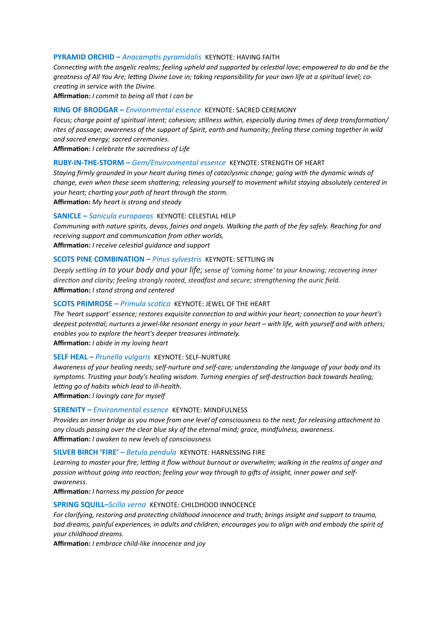#### **PYRAMID ORCHID – Anacamptis pyramidalis KEYNOTE: HAVING FAITH**

*Connecting with the angelic realms; feeling upheld and supported by celestial love; empowered to do and be the* greatness of All You Are; letting Divine Love in; taking responsibility for your own life at a spiritual level; co*creating in service with the Divine.* 

**Affirma9on:** *I commit to being all that I can be* 

## **RING OF BRODGAR –** *Environmental essence* KEYNOTE: SACRED CEREMONY

*Focus; charge point of spiritual intent; cohesion; stillness within, especially during times of deep transformation/ rites of passage; awareness of the support of Spirit, earth and humanity; feeling these coming together in wild and sacred energy; sacred ceremonies.*

**Affirma9on:** *I celebrate the sacredness of Life* 

## **RUBY-IN-THE-STORM –** *Gem/Environmental essence* KEYNOTE: STRENGTH OF HEART

*Staying firmly grounded in your heart during times of cataclysmic change; going with the dynamic winds of change, even when these seem shattering; releasing yourself to movement whilst staying absolutely centered in your heart; charting your path of heart through the storm.* 

Affirmation: My heart is strong and steady

#### **SANICLE –** *Sanicula europaeas* KEYNOTE: CELESTIAL HELP

*Communing with nature spirits, devas, fairies and angels. Walking the path of the fey safely. Reaching for and*  receiving support and communication from other worlds.

Affirmation: *I receive celestial guidance and support* 

## **SCOTS PINE COMBINATION –** *Pinus sylvestris* KEYNOTE: SETTLING IN

*Deeply settling in to your body and your life; sense of 'coming home' to your knowing; recovering inner* direction and clarity; feeling strongly rooted, steadfast and secure; strengthening the auric field. **Affirma9on:** *I stand strong and centered* 

## **SCOTS PRIMROSE –** *Primula scotica* KEYNOTE: JEWEL OF THE HEART

*The 'heart support' essence; restores exquisite connection to and within your heart; connection to your heart's deepest potential; nurtures a jewel-like resonant energy in your heart – with life, with yourself and with others; enables you to explore the heart's deeper treasures intimately.* 

**Affirma9on:** *I abide in my loving heart*

#### **SELF HEAL –** *Prunella vulgaris* KEYNOTE: SELF-NURTURE

*Awareness of your healing needs; self-nurture and self-care; understanding the language of your body and its*  symptoms. Trusting your body's healing wisdom. Turning energies of self-destruction back towards healing; *letting go of habits which lead to ill-health.* 

Affirmation: *I lovingly care for myself* 

## **SERENITY –** *Environmental essence* KEYNOTE: MINDFULNESS

*Provides an inner bridge as you move from one level of consciousness to the next; for releasing attachment to any clouds passing over the clear blue sky of the eternal mind; grace, mindfulness, awareness.*  **Affirma9on:** *I awaken to new levels of consciousness* 

#### **SILVER BIRCH 'FIRE' –** *Betula pendula* KEYNOTE: HARNESSING FIRE

Learning to master your fire; letting it flow without burnout or overwhelm; walking in the realms of anger and passion without going into reaction; feeling your way through to gifts of insight, inner power and self*awareness.* 

Affirmation: *I harness my passion for peace* 

#### **SPRING SQUILL–***Scilla verna* KEYNOTE: CHILDHOOD INNOCENCE

*For clarifying, restoring and protecting childhood innocence and truth; brings insight and support to trauma, bad dreams, painful experiences, in adults and children; encourages you to align with and embody the spirit of your childhood dreams.* 

Affirmation: *I embrace child-like innocence and joy*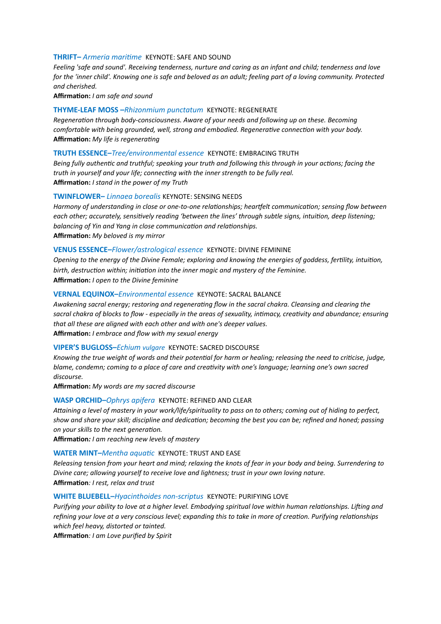#### **THRIFT–** Armeria maritime **KEYNOTE: SAFE AND SOUND**

*Feeling 'safe and sound'. Receiving tenderness, nurture and caring as an infant and child; tenderness and love for the 'inner child'. Knowing one is safe and beloved as an adult; feeling part of a loving community. Protected and cherished.* 

**Affirma9on:** *I am safe and sound*

#### **THYME-LEAF MOSS –***Rhizonmium punctatum* KEYNOTE: REGENERATE

*Regenera%on through body-consciousness. Aware of your needs and following up on these. Becoming*  comfortable with being grounded, well, strong and embodied. Regenerative connection with your body. **Affirmation:** My life is regenerating

#### **TRUTH ESSENCE–***Tree/environmental essence* KEYNOTE: EMBRACING TRUTH

*Being fully authentic and truthful; speaking your truth and following this through in your actions; facing the truth in yourself and your life; connecting with the inner strength to be fully real.* **Affirma9on:** *I stand in the power of my Truth* 

#### **TWINFLOWER–** *Linnaea borealis* KEYNOTE: SENSING NEEDS

Harmony of understanding in close or one-to-one relationships; heartfelt communication; sensing flow between *each other; accurately, sensitively reading 'between the lines' through subtle signs, intuition, deep listening;* balancing of Yin and Yang in close communication and relationships. **Affirma9on:** *My beloved is my mirror* 

## **VENUS ESSENCE–***Flower/astrological essence* KEYNOTE: DIVINE FEMININE

*Opening to the energy of the Divine Female; exploring and knowing the energies of goddess, fertility, intuition,* birth, destruction within; initiation into the inner magic and mystery of the Feminine.

**Affirma9on:** *I open to the Divine feminine*

#### **VERNAL EQUINOX–***Environmental essence* KEYNOTE: SACRAL BALANCE

Awakening sacral energy; restoring and regenerating flow in the sacral chakra. Cleansing and clearing the sacral chakra of blocks to flow - especially in the areas of sexuality, intimacy, creativity and abundance; ensuring *that all these are aligned with each other and with one's deeper values.*  **Affirma9on:** *I embrace and flow with my sexual energy*

#### **VIPER'S BUGLOSS–***Echium vulgare* KEYNOTE: SACRED DISCOURSE

*Knowing the true weight of words and their potential for harm or healing; releasing the need to criticise, judge, blame, condemn; coming to a place of care and creativity with one's language; learning one's own sacred discourse.* 

**Affirma9on:** *My words are my sacred discourse* 

## **WASP ORCHID–***Ophrys apifera* KEYNOTE: REFINED AND CLEAR

Attaining a level of mastery in your work/life/spirituality to pass on to others; coming out of hiding to perfect, show and share your skill; discipline and dedication; becoming the best you can be; refined and honed; passing  $on$  your skills to the next generation.

**Affirma9on***: I am reaching new levels of mastery* 

#### **WATER MINT–***Mentha aquatic* KEYNOTE: TRUST AND EASE

*Releasing tension from your heart and mind; relaxing the knots of fear in your body and being. Surrendering to Divine care; allowing yourself to receive love and lightness; trust in your own loving nature.*  **Affirma9on***: I rest, relax and trust*

#### **WHITE BLUEBELL–***Hyacinthoides non-scriptus* KEYNOTE: PURIFYING LOVE

*Purifying your ability to love at a higher level. Embodying spiritual love within human relationships. Lifting and* refining your love at a very conscious level; expanding this to take in more of creation. Purifying relationships *which feel heavy, distorted or tainted.* 

**Affirma9on***: I am Love purified by Spirit*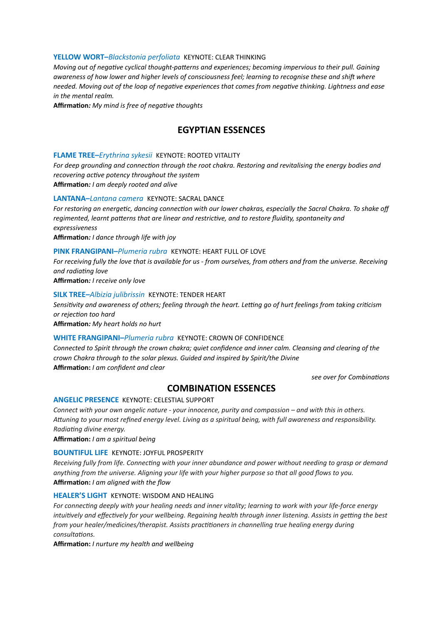#### **YELLOW WORT–***Blackstonia perfoliata* KEYNOTE: CLEAR THINKING

*Moving out of negative cyclical thought-patterns and experiences; becoming impervious to their pull. Gaining awareness of how lower and higher levels of consciousness feel; learning to recognise these and shift where needed. Moving out of the loop of negative experiences that comes from negative thinking. Lightness and ease in the mental realm.* 

**Affirmation:** My mind is free of negative thoughts

## **EGYPTIAN ESSENCES**

#### **FLAME TREE–***Erythrina sykesii* KEYNOTE: ROOTED VITALITY

For deep grounding and connection through the root chakra. Restoring and revitalising the energy bodies and *recovering active potency throughout the system* **Affirma9on***: I am deeply rooted and alive* 

**LANTANA–***Lantana camera* KEYNOTE: SACRAL DANCE

For restoring an energetic, dancing connection with our lower chakras, especially the Sacral Chakra. To shake off regimented, learnt patterns that are linear and restrictive, and to restore fluidity, spontaneity and *expressiveness* 

**Affirma9on***: I dance through life with joy* 

#### **PINK FRANGIPANI–***Plumeria rubra* KEYNOTE: HEART FULL OF LOVE

*For receiving fully the love that is available for us - from ourselves, from others and from the universe. Receiving*  and radiating love

**Affirma9on***: I receive only love* 

#### **SILK TREE–***Albizia julibrissin* KEYNOTE: TENDER HEART

Sensitivity and awareness of others; feeling through the heart. Letting go of hurt feelings from taking criticism  $or$  rejection too hard

**Affirma9on***: My heart holds no hurt* 

## **WHITE FRANGIPANI–***Plumeria rubra* KEYNOTE: CROWN OF CONFIDENCE

*Connected to Spirit through the crown chakra; quiet confidence and inner calm. Cleansing and clearing of the crown Chakra through to the solar plexus. Guided and inspired by Spirit/the Divine*  Affirmation: *I am confident and clear* 

*see over for Combina%ons* 

## **COMBINATION ESSENCES**

## **ANGELIC PRESENCE**KEYNOTE: CELESTIAL SUPPORT

*Connect with your own angelic nature - your innocence, purity and compassion – and with this in others. AWuning to your most refined energy level. Living as a spiritual being, with full awareness and responsibility. Radia%ng divine energy.* 

**Affirma9on:** *I am a spiritual being*

#### **BOUNTIFUL LIFE**KEYNOTE: JOYFUL PROSPERITY

*Receiving fully from life. Connecting with your inner abundance and power without needing to grasp or demand anything from the universe. Aligning your life with your higher purpose so that all good flows to you.*  Affirmation: *I am aligned with the flow* 

#### **HEALER'S LIGHT**KEYNOTE: WISDOM AND HEALING

For connecting deeply with your healing needs and inner vitality; learning to work with your life-force energy *intuitively and effectively for your wellbeing. Regaining health through inner listening. Assists in getting the best from your healer/medicines/therapist. Assists practitioners in channelling true healing energy during*  $const$ *consultations.* 

**Affirma9on:** *I nurture my health and wellbeing*